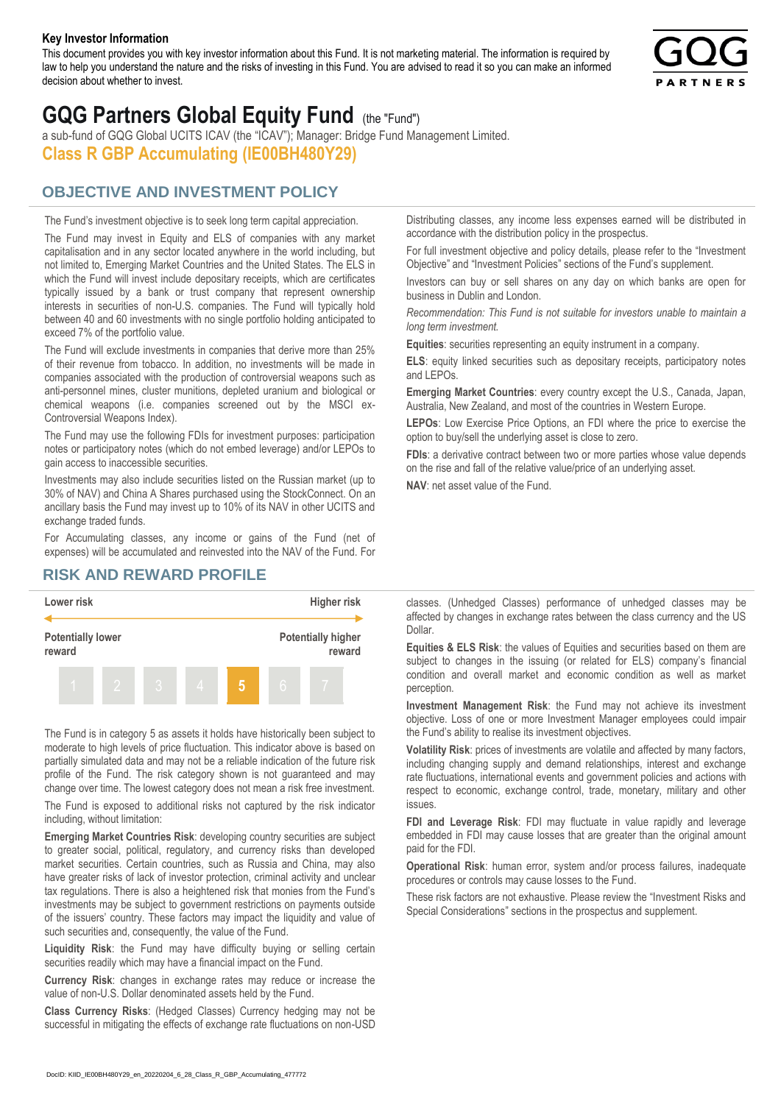#### **Key Investor Information**

This document provides you with key investor information about this Fund. It is not marketing material. The information is required by law to help you understand the nature and the risks of investing in this Fund. You are advised to read it so you can make an informed decision about whether to invest.



# **GQG Partners Global Equity Fund** (the "Fund")

a sub-fund of GQG Global UCITS ICAV (the "ICAV"); Manager: Bridge Fund Management Limited. **Class R GBP Accumulating (IE00BH480Y29)**

### **OBJECTIVE AND INVESTMENT POLICY**

The Fund's investment objective is to seek long term capital appreciation. The Fund may invest in Equity and ELS of companies with any market capitalisation and in any sector located anywhere in the world including, but not limited to, Emerging Market Countries and the United States. The ELS in which the Fund will invest include depositary receipts, which are certificates typically issued by a bank or trust company that represent ownership interests in securities of non-U.S. companies. The Fund will typically hold between 40 and 60 investments with no single portfolio holding anticipated to exceed 7% of the portfolio value.

The Fund will exclude investments in companies that derive more than 25% of their revenue from tobacco. In addition, no investments will be made in companies associated with the production of controversial weapons such as anti-personnel mines, cluster munitions, depleted uranium and biological or chemical weapons (i.e. companies screened out by the MSCI ex-Controversial Weapons Index).

The Fund may use the following FDIs for investment purposes: participation notes or participatory notes (which do not embed leverage) and/or LEPOs to gain access to inaccessible securities.

Investments may also include securities listed on the Russian market (up to 30% of NAV) and China A Shares purchased using the StockConnect. On an ancillary basis the Fund may invest up to 10% of its NAV in other UCITS and exchange traded funds.

For Accumulating classes, any income or gains of the Fund (net of expenses) will be accumulated and reinvested into the NAV of the Fund. For Distributing classes, any income less expenses earned will be distributed in accordance with the distribution policy in the prospectus.

For full investment objective and policy details, please refer to the "Investment Objective" and "Investment Policies" sections of the Fund's supplement.

Investors can buy or sell shares on any day on which banks are open for business in Dublin and London.

*Recommendation: This Fund is not suitable for investors unable to maintain a long term investment.*

**Equities**: securities representing an equity instrument in a company.

**ELS**: equity linked securities such as depositary receipts, participatory notes and LEPOs.

**Emerging Market Countries**: every country except the U.S., Canada, Japan, Australia, New Zealand, and most of the countries in Western Europe.

**LEPOs**: Low Exercise Price Options, an FDI where the price to exercise the option to buy/sell the underlying asset is close to zero.

**FDIs**: a derivative contract between two or more parties whose value depends on the rise and fall of the relative value/price of an underlying asset.

**NAV**: net asset value of the Fund.

#### **RISK AND REWARD PROFILE**



The Fund is in category 5 as assets it holds have historically been subject to moderate to high levels of price fluctuation. This indicator above is based on partially simulated data and may not be a reliable indication of the future risk profile of the Fund. The risk category shown is not guaranteed and may change over time. The lowest category does not mean a risk free investment.

The Fund is exposed to additional risks not captured by the risk indicator including, without limitation:

**Emerging Market Countries Risk**: developing country securities are subject to greater social, political, regulatory, and currency risks than developed market securities. Certain countries, such as Russia and China, may also have greater risks of lack of investor protection, criminal activity and unclear tax regulations. There is also a heightened risk that monies from the Fund's investments may be subject to government restrictions on payments outside of the issuers' country. These factors may impact the liquidity and value of such securities and, consequently, the value of the Fund.

**Liquidity Risk**: the Fund may have difficulty buying or selling certain securities readily which may have a financial impact on the Fund.

**Currency Risk**: changes in exchange rates may reduce or increase the value of non-U.S. Dollar denominated assets held by the Fund.

**Class Currency Risks**: (Hedged Classes) Currency hedging may not be successful in mitigating the effects of exchange rate fluctuations on non-USD classes. (Unhedged Classes) performance of unhedged classes may be affected by changes in exchange rates between the class currency and the US Dollar.

**Equities & ELS Risk**: the values of Equities and securities based on them are subject to changes in the issuing (or related for ELS) company's financial condition and overall market and economic condition as well as market perception.

**Investment Management Risk**: the Fund may not achieve its investment objective. Loss of one or more Investment Manager employees could impair the Fund's ability to realise its investment objectives.

**Volatility Risk**: prices of investments are volatile and affected by many factors, including changing supply and demand relationships, interest and exchange rate fluctuations, international events and government policies and actions with respect to economic, exchange control, trade, monetary, military and other issues.

**FDI and Leverage Risk**: FDI may fluctuate in value rapidly and leverage embedded in FDI may cause losses that are greater than the original amount paid for the FDI.

**Operational Risk**: human error, system and/or process failures, inadequate procedures or controls may cause losses to the Fund.

These risk factors are not exhaustive. Please review the "Investment Risks and Special Considerations" sections in the prospectus and supplement.